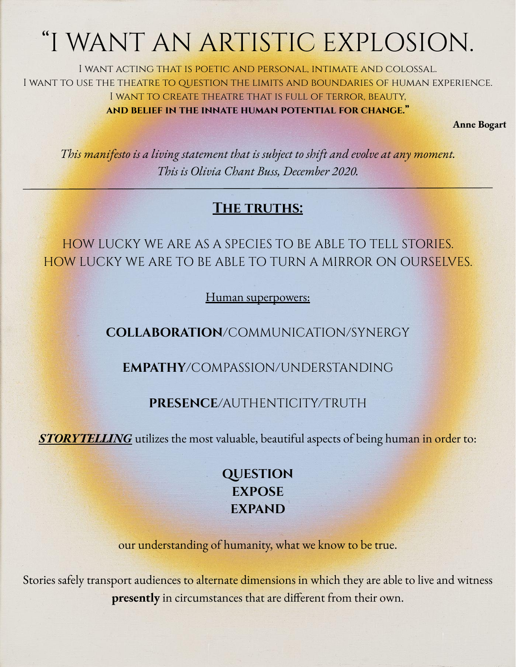# "I WANT AN ARTISTIC EXPLOSION.

I want acting that is poetic and personal, intimate and colossal. I WANT TO USE THE THEATRE TO QUESTION THE LIMITS AND BOUNDARIES OF HUMAN EXPERIENCE. I want to create theatre that is full of terror, beauty, **and belief in the innate human potential for change."**

**Anne Bogart**

*This manifesto is a living statement that is subject to shift and evolve at any moment. This is Olivia Chant Buss, December 2020.*

# **The truths:**

HOW LUCKY WE ARE AS A SPECIES TO BE ABLE TO TELL STORIES. HOW LUCKY WE ARE TO BE ABLE TO TURN A MIRROR ON OURSELVES.

Human superpowers:

**COLLABORATION**/COMMUNICATION/SYNERGY

**EMPATHY**/COMPASSION/UNDERSTANDING

## **PRESENCE**/AUTHENTICITY/TRUTH

**STORYTELLING** utilizes the most valuable, beautiful aspects of being human in order to:

# **QUESTION EXPOSE EXPAND**

our understanding of humanity, what we know to be true.

Stories safely transport audiences to alternate dimensions in which they are able to live and witness **presently** in circumstances that are different from their own.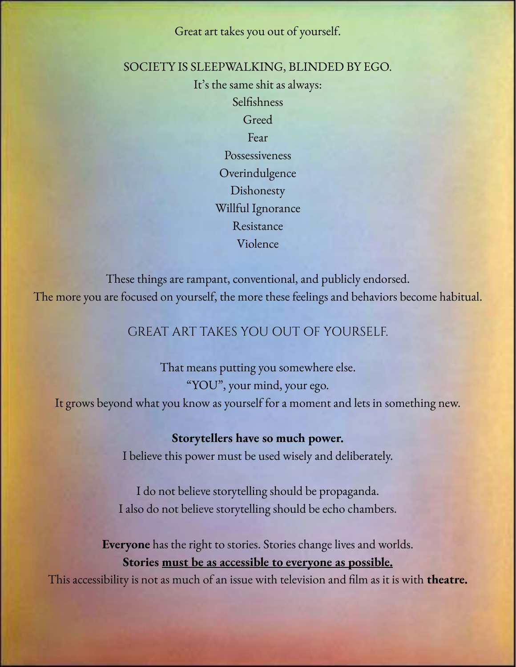Great art takes you out of yourself.

SOCIETY IS SLEEPWALKING, BLINDED BY EGO.

It's the same shit as always: Selfishness Greed Fear Possessiveness **Overindulgence** Dishonesty Willful Ignorance Resistance Violence

These things are rampant, conventional, and publicly endorsed. The more you are focused on yourself, the more these feelings and behaviors become habitual.

### GREAT ART TAKES YOU OUT OF YOURSELF.

That means putting you somewhere else. "YOU", your mind, your ego. It grows beyond what you know as yourself for a moment and lets in something new.

> **Storytellers have so much power.**  I believe this power must be used wisely and deliberately.

I do not believe storytelling should be propaganda. I also do not believe storytelling should be echo chambers.

**Everyone** has the right to stories. Stories change lives and worlds. **Stories must be as accessible to everyone as possible.**

This accessibility is not as much of an issue with television and film as it is with **theatre.**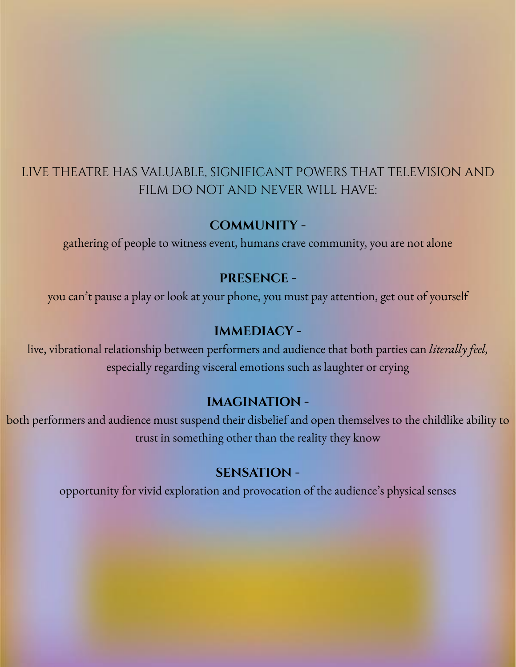# LIVE THEATRE HAS VALUABLE, SIGNIFICANT POWERS THAT TELEVISION AND FILM DO NOT AND NEVER WILL HAVE:

#### **COMMUNITY -**

gathering of people to witness event, humans crave community, you are not alone

#### **PRESENCE -**

you can't pause a play or look at your phone, you must pay attention, get out of yourself

#### **IMMEDIACY -**

live, vibrational relationship between performers and audience that both parties can *literally feel,*  especially regarding visceral emotions such as laughter or crying

#### **IMAGINATION -**

both performers and audience must suspend their disbelief and open themselves to the childlike ability to trust in something other than the reality they know

#### **SENSATION -**

opportunity for vivid exploration and provocation of the audience's physical senses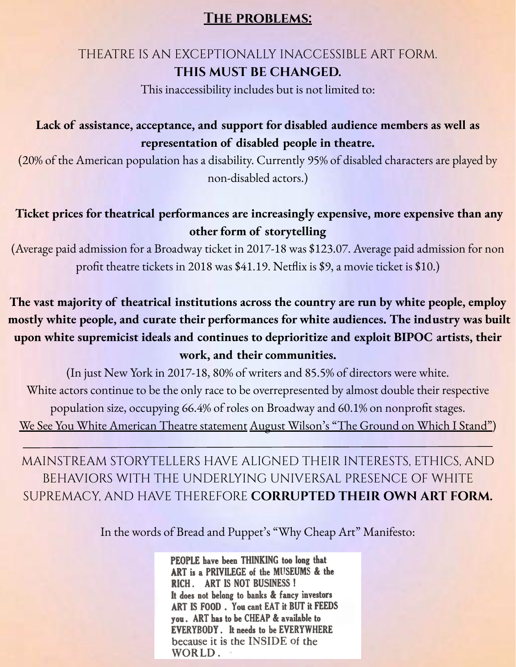#### **The problems:**

## THEATRE IS AN EXCEPTIONALLY INACCESSIBLE ART FORM. **THIS MUST BE CHANGED.**

This inaccessibility includes but is not limited to:

## **Lack of assistance, acceptance, and support for disabled audience members as well as representation of disabled people in theatre.**

(20% of the American population has a disability. Currently 95% of disabled characters are played by non-disabled actors.)

## **Ticket prices for theatrical performances are increasingly expensive, more expensive than any other form of storytelling**

(Average paid admission for a Broadway ticket in 2017-18 was \$123.07. Average paid admission for non profit theatre tickets in 2018 was \$41.19. Netflix is \$9, a movie ticket is \$10.)

**The vast majority of theatrical institutions across the country are run by white people, employ mostly white people, and curate their performances for white audiences. The industry was built upon white supremicist ideals and continues to deprioritize and exploit BIPOC artists, their work, and their communities.**

(In just New York in 2017-18, 80% of writers and 85.5% of directors were white. White actors continue to be the only race to be overrepresented by almost double their respective population size, occupying 66.4% of roles on Broadway and 60.1% on nonprofit stages. [We See You White American Theatre statement](https://www.weseeyouwat.com/) [August Wilson's "The Ground on Which I Stand"](https://www.americantheatre.org/2016/06/20/the-ground-on-which-i-stand/))

MAINSTREAM STORYTELLERS HAVE ALIGNED THEIR INTERESTS, ETHICS, AND BEHAVIORS WITH THE UNDERLYING UNIVERSAL PRESENCE OF WHITE SUPREMACY, AND HAVE THEREFORE **CORRUPTED THEIR OWN ART FORM.** 

In the words of Bread and Puppet's "Why Cheap Art" Manifesto:

PEOPLE have been THINKING too long that ART is a PRIVILEGE of the MUSEUMS & the RICH. ART IS NOT BUSINESS! It does not belong to banks & fancy investors ART IS FOOD. You cant EAT it BUT it FEEDS you. ART has to be CHEAP & available to **EVERYBODY**. It needs to be EVERYWHERE because it is the INSIDE of the WORLD.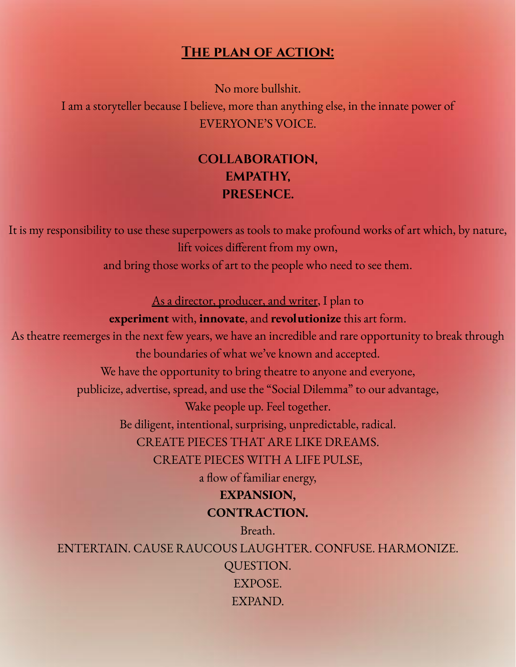#### **The plan of action:**

No more bullshit.

I am a storyteller because I believe, more than anything else, in the innate power of EVERYONE'S VOICE.

# **COLLABORATION, EMPATHY, PRESENCE.**

It is my responsibility to use these superpowers as tools to make profound works of art which, by nature, lift voices different from my own,

and bring those works of art to the people who need to see them.

As a director, producer, and writer, I plan to

#### **experiment** with, **innovate**, and **revolutionize** this art form.

As theatre reemerges in the next few years, we have an incredible and rare opportunity to break through the boundaries of what we've known and accepted.

We have the opportunity to bring theatre to anyone and everyone,

publicize, advertise, spread, and use the "Social Dilemma" to our advantage,

Wake people up. Feel together.

Be diligent, intentional, surprising, unpredictable, radical.

CREATE PIECES THAT ARE LIKE DREAMS.

CREATE PIECES WITH A LIFE PULSE,

a flow of familiar energy,

# **EXPANSION, CONTRACTION.**

Breath.

ENTERTAIN. CAUSE RAUCOUS LAUGHTER. CONFUSE. HARMONIZE. QUESTION. EXPOSE. EXPAND.